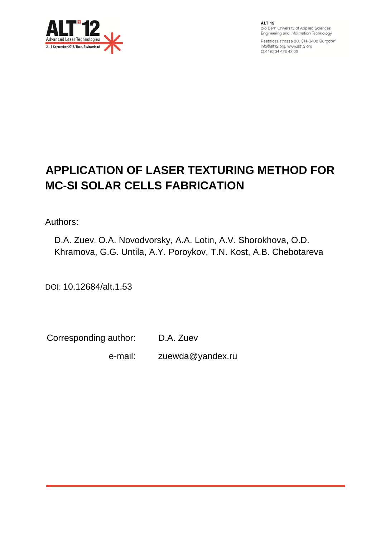

**ALT 12** c/o Bern University of Applied Sciences Engineering and Information Technology

Pestalozzistrasse 20, CH-3400 Burgdorf info@alt12.org, www.alt12.org 0041 (0) 34 426 42 06

# **APPLICATION OF LASER TEXTURING METHOD FOR MC-SI SOLAR CELLS FABRICATION**

Authors:

D.A. Zuev, O.A. Novodvorsky, A.A. Lotin, A.V. Shorokhova, O.D. Khramova, G.G. Untila, A.Y. Poroykov, T.N. Kost, A.B. Chebotareva

DOI: 10.12684/alt.1.53

Corresponding author: D.A. Zuev

e-mail: zuewda@yandex.ru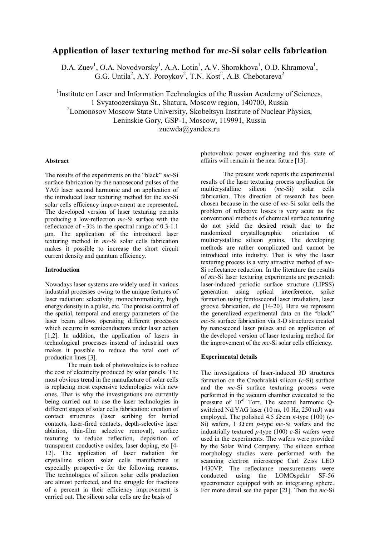## **Application of laser texturing method for** *mc***-Si solar cells fabrication**

D.A. Zuev<sup>1</sup>, O.A. Novodvorsky<sup>1</sup>, A.A. Lotin<sup>1</sup>, A.V. Shorokhova<sup>1</sup>, O.D. Khramova<sup>1</sup>, G.G. Untila<sup>2</sup>, A.Y. Poroykov<sup>2</sup>, T.N. Kost<sup>2</sup>, A.B. Chebotareva<sup>2</sup>

<sup>1</sup>Institute on Laser and Information Technologies of the Russian Academy of Sciences, 1 Svyatoozerskaya St., Shatura, Moscow region, 140700, Russia <sup>2</sup> Lomonosov Moscow State University, Skobeltsyn Institute of Nuclear Physics, Leninskie Gory, GSP-1, Moscow, 119991, Russia zuewda@yandex.ru

#### **Abstract**

The results of the experiments on the "black" *mc*-Si surface fabrication by the nanosecond pulses of the YAG laser second harmonic and on application of the introduced laser texturing method for the *mc*-Si solar cells efficiency improvement are represented. The developed version of laser texturing permits producing a low-reflection *mc*-Si surface with the reflectance of  $\sim$ 3% in the spectral range of 0.3-1.1 μm. The application of the introduced laser texturing method in *mc*-Si solar cells fabrication makes it possible to increase the short circuit current density and quantum efficiency.

#### **Introduction**

Nowadays laser systems are widely used in various industrial processes owing to the unique features of laser radiation: selectivity, monochromaticity, high energy density in a pulse, etc. The precise control of the spatial, temporal and energy parameters of the laser beam allows operating different processes which occurre in semiconductors under laser action [1,2]. In addition, the application of lasers in technological processes instead of industrial ones makes it possible to reduce the total cost of production lines [3].

The main task of photovoltaics is to reduce the cost of electricity produced by solar panels. The most obvious trend in the manufacture of solar cells is replacing most expensive technologies with new ones. That is why the investigations are currently being carried out to use the laser technologies in different stages of solar cells fabrication: creation of contact structures (laser scribing for buried contacts, laser-fired contacts, depth-selective laser ablation, thin-film selective removal), surface texturing to reduce reflection, deposition of transparent conductive oxides, laser doping, etc [4- 12]. The application of laser radiation for crystalline silicon solar cells manufacture is especially prospective for the following reasons. The technologies of silicon solar cells production are almost perfected, and the struggle for fractions of a percent in their efficiency improvement is carried out. The silicon solar cells are the basis of

photovoltaic power engineering and this state of affairs will remain in the near future [13].

The present work reports the experimental results of the laser texturing process application for multicrystalline silicon (*mc*-Si) solar cells fabrication. This direction of research has been chosen because in the case of *mc*-Si solar cells the problem of reflective losses is very acute as the conventional methods of chemical surface texturing do not yield the desired result due to the randomized crystallographic orientation of multicrystalline silicon grains. The developing methods are rather complicated and cannot be introduced into industry. That is why the laser texturing process is a very attractive method of *mc*-Si reflectance reduction. In the literature the results of *mc*-Si laser texturing experiments are presented: laser-induced periodic surface structure (LIPSS) generation using optical interference, spike formation using femtosecond laser irradiation, laser groove fabrication, etc [14-20]. Here we represent the generalized experimental data on the "black" *mc*-Si surface fabrication via 3-D structures created by nanosecond laser pulses and on application of the developed version of laser texturing method for the improvement of the *mc*-Si solar cells efficiency.

#### **Experimental details**

The investigations of laser-induced 3D structures formation on the Czochralski silicon (*c*-Si) surface and the *mc*-Si surface texturing process were performed in the vacuum chamber evacuated to the pressure of  $10^{-6}$  Torr. The second harmonic Qswitched Nd:YAG laser (10 ns, 10 Hz, 250 mJ) was employed. The polished 4.5 Ω∙cm *n*-type (100) (*c*-Si) wafers, 1 Ω∙cm *p*-type *mc*-Si wafers and the industrially textured *p*-type (100) *c*-Si wafers were used in the experiments. The wafers were provided by the Solar Wind Company. The silicon surface morphology studies were performed with the scanning electron microscope Carl Zeiss LEO 1430VP. The reflectance measurements were<br>conducted using the LOMOspektr SF-56 using the LOMOspektr SF-56 spectrometer equipped with an integrating sphere. For more detail see the paper [21]. Then the *mc*-Si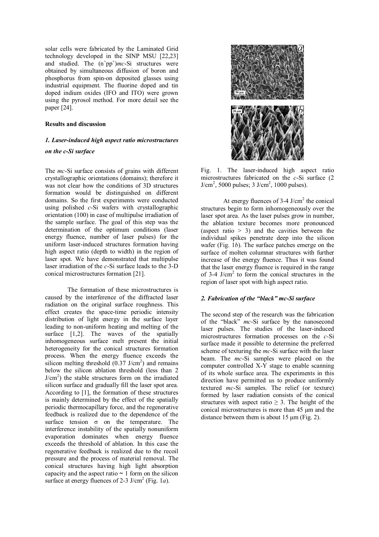solar cells were fabricated by the Laminated Grid technology developed in the SINP MSU [22,23] and studied. The  $(n^+pp^+)mc$ -Si structures were obtained by simultaneous diffusion of boron and phosphorus from spin-on deposited glasses using industrial equipment. The fluorine doped and tin doped indium oxides (IFO and ITO) were grown using the pyrosol method. For more detail see the paper [24].

#### **Results and discussion**

#### *1. Laser-induced high aspect ratio microstructures*

### *on the c-Si surface*

The *mc*-Si surface consists of grains with different crystallographic orientations (domains); therefore it was not clear how the conditions of 3D structures formation would be distinguished on different domains. So the first experiments were conducted using polished *c*-Si wafers with crystallographic orientation (100) in case of multipulse irradiation of the sample surface. The goal of this step was the determination of the optimum conditions (laser energy fluence, number of laser pulses) for the uniform laser-induced structures formation having high aspect ratio (depth to width) in the region of laser spot. We have demonstrated that multipulse laser irradiation of the *c*-Si surface leads to the 3-D conical microstructures formation [21].

The formation of these microstructures is caused by the interference of the diffracted laser radiation on the original surface roughness. This effect creates the space-time periodic intensity distribution of light energy in the surface layer leading to non-uniform heating and melting of the surface [1,2]. The waves of the spatially inhomogeneous surface melt present the initial heterogeneity for the conical structures formation process. When the energy fluence exceeds the silicon melting threshold  $(0.37 \text{ J/cm}^2)$  and remains below the silicon ablation threshold (less than 2  $J/cm<sup>2</sup>$ ) the stable structures form on the irradiated silicon surface and gradually fill the laser spot area. According to [1], the formation of these structures is mainly determined by the effect of the spatially periodic thermocapillary force, and the regenerative feedback is realized due to the dependence of the surface tension  $\sigma$  on the temperature. The interference instability of the spatially nonuniform evaporation dominates when energy fluence exceeds the threshold of ablation. In this case the regenerative feedback is realized due to the recoil pressure and the process of material removal. The conical structures having high light absorption capacity and the aspect ratio  $\sim$  1 form on the silicon surface at energy fluences of 2-3 J/cm<sup>2</sup> (Fig. 1*a*).



Fig. 1. The laser-induced high aspect ratio microstructures fabricated on the *c*-Si surface (2  $J/cm<sup>2</sup>$ , 5000 pulses; 3  $J/cm<sup>2</sup>$ , 1000 pulses).

At energy fluences of  $3-4$  J/cm<sup>2</sup> the conical structures begin to form inhomogeneously over the laser spot area. As the laser pulses grow in number, the ablation texture becomes more pronounced (aspect ratio  $> 3$ ) and the cavities between the individual spikes penetrate deep into the silicon wafer (Fig. 1*b*). The surface patches emerge on the surface of molten columnar structures with further increase of the energy fluence. Thus it was found that the laser energy fluence is required in the range of 3-4 J/cm<sup>2</sup> to form the conical structures in the region of laser spot with high aspect ratio.

#### *2. Fabrication of the "black" mc-Si surface*

The second step of the research was the fabrication of the "black" *mc*-Si surface by the nanosecond laser pulses. The studies of the laser-induced microstructures formation processes on the *c-*Si surface made it possible to determine the preferred scheme of texturing the *mc*-Si surface with the laser beam. The *mc*-Si samples were placed on the computer controlled X-Y stage to enable scanning of its whole surface area. The experiments in this direction have permitted us to produce uniformly textured *mc*-Si samples. The relief (or texture) formed by laser radiation consists of the conical structures with aspect ratio  $\geq$  3. The height of the conical microstructures is more than 45 μm and the distance between them is about 15 μm (Fig. 2).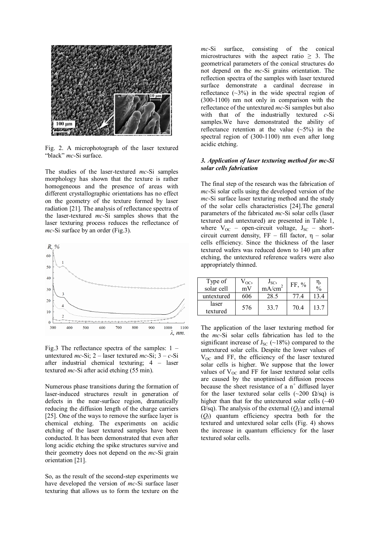

Fig. 2. A microphotograph of the laser textured "black" *mc*-Si surface.

The studies of the laser-textured *mc*-Si samples morphology has shown that the texture is rather homogeneous and the presence of areas with different crystallographic orientations has no effect on the geometry of the texture formed by laser radiation [21]. The analysis of reflectance spectra of the laser-textured *mc*-Si samples shows that the laser texturing process reduces the reflectance of *mc*-Si surface by an order (Fig.3).



Fig.3 The reflectance spectra of the samples: 1 – untextured *mc*-Si; 2 – laser textured *mc*-Si;  $3 - c$ -Si after industrial chemical texturing; 4 – laser textured *mc*-Si after acid etching (55 min).

Numerous phase transitions during the formation of laser-induced structures result in generation of defects in the near-surface region, dramatically reducing the diffusion length of the charge carriers [25]. One of the ways to remove the surface layer is chemical etching. The experiments on acidic etching of the laser textured samples have been conducted. It has been demonstrated that even after long acidic etching the spike structures survive and their geometry does not depend on the *mc*-Si grain orientation [21].

So, as the result of the second-step experiments we have developed the version of *mc*-Si surface laser texturing that allows us to form the texture on the

*mc*-Si surface, consisting of the conical microstructures with the aspect ratio  $\geq$  3. The geometrical parameters of the conical structures do not depend on the *mc*-Si grains orientation. The reflection spectra of the samples with laser textured surface demonstrate a cardinal decrease in reflectance  $(\sim 3\%)$  in the wide spectral region of (300-1100) nm not only in comparison with the reflectance of the untextured *mc*-Si samples but also with that of the industrially textured *c*-Si samples.We have demonstrated the ability of reflectance retention at the value  $(-5%)$  in the spectral region of (300-1100) nm even after long acidic etching.

#### *3. Application of laser texturing method for mc-Si solar cells fabrication*

The final step of the research was the fabrication of *mc*-Si solar cells using the developed version of the *mc*-Si surface laser texturing method and the study of the solar cells characteristics [24].The general parameters of the fabricated *mc*-Si solar cells (laser textured and untextured) are presented in Table 1, where  $V_{OC}$  – open-circuit voltage,  $J_{SC}$  – shortcircuit current density,  $FF - fill factor$ ,  $\eta - solar$ cells efficiency. Since the thickness of the laser textured wafers was reduced down to 140 μm after etching, the untextured reference wafers were also appropriately thinned.

| Type of<br>solar cell | $V_{OC}$<br>mV | $J_{SC}$<br>mA/cm <sup>2</sup> | $FF, \%$ | $\frac{0}{0}$ |
|-----------------------|----------------|--------------------------------|----------|---------------|
| untextured            | 606            | 28.5                           |          |               |
| laser<br>textured     | 576            | 33.7                           | 70.4     | 13.7          |

The application of the laser texturing method for the *mc*-Si solar cells fabrication has led to the significant increase of  $J_{SC}$  (~18%) compared to the untextured solar cells. Despite the lower values of  $V_{OC}$  and FF, the efficiency of the laser textured solar cells is higher. We suppose that the lower values of  $V_{OC}$  and FF for laser textured solar cells are caused by the unoptimised diffusion process because the sheet resistance of a  $n^+$  diffused layer for the laser textured solar cells (~200  $\Omega$ /sq) is higher than that for the untextured solar cells  $(\sim40$  $\Omega$ /sq). The analysis of the external  $(Q_E)$  and internal (*QI*) quantum efficiency spectra both for the textured and untextured solar cells (Fig. 4) shows the increase in quantum efficiency for the laser textured solar cells.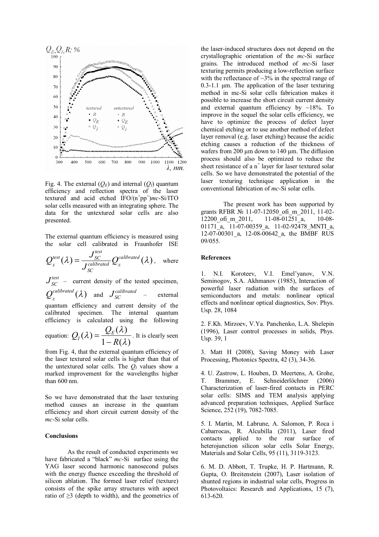

Fig. 4. The external  $(Q_E)$  and internal  $(Q_I)$  quantum efficiency and reflection spectra of the laser textured and acid etched  $\text{IFO}/(\text{n}^+\text{pp}^+)mc\text{-Si/ITO}$ solar cells measured with an integrating sphere. The data for the untextured solar cells are also presented.

The external quantum efficiency is measured using the solar cell calibrated in Fraunhofer ISE

$$
Q_{E}^{test}(\lambda) = \frac{J_{SC}^{test}}{J_{SC}^{calibrated}} Q_{E}^{calibrated}(\lambda), \text{ where}
$$

 $J_{SC}^{test}$ - current density of the tested specimen,  $Q_{E}^{calibrated}(\lambda)$  and  $J_{SC}^{calibrated}$  – external quantum efficiency and current density of the calibrated specimen. The internal quantum efficiency is calculated using the following

equation: 
$$
Q_I(\lambda) = \frac{Q_E(\lambda)}{1 - R(\lambda)}
$$
. It is clearly seen

from Fig. 4, that the external quantum efficiency of the laser textured solar cells is higher than that of the untextured solar cells. The  $Q_I$  values show a marked improvement for the wavelengths higher than 600 nm.

So we have demonstrated that the laser texturing method causes an increase in the quantum efficiency and short circuit current density of the *mc*-Si solar cells.

#### **Conclusions**

As the result of conducted experiments we have fabricated a "black" *mc*-Si surface using the YAG laser second harmonic nanosecond pulses with the energy fluence exceeding the threshold of silicon ablation. The formed laser relief (texture) consists of the spike array structures with aspect ratio of ≥3 (depth to width), and the geometrics of the laser-induced structures does not depend on the crystallographic orientation of the *mc*-Si surface grains. The introduced method of *mc*-Si laser texturing permits producing a low-reflection surface with the reflectance of  $\sim$ 3% in the spectral range of  $0.3-1.1$  μm. The application of the laser texturing method in mc-Si solar cells fabrication makes it possible to increase the short circuit current density and external quantum efficiency by  $\sim 18\%$ . To improve in the sequel the solar cells efficiency, we have to optimize the process of defect layer chemical etching or to use another method of defect layer removal (e.g. laser etching) because the acidic etching causes a reduction of the thickness of wafers from 200 μm down to 140 μm. The diffusion process should also be optimized to reduce the sheet resistance of a  $n^+$  layer for laser textured solar cells. So we have demonstrated the potential of the laser texturing technique application in the conventional fabrication of *mc*-Si solar cells.

The present work has been supported by grants RFBR № 11-07-12050\_ofi\_m\_2011, 11-02-<br>12200 ofi\_m\_2011, 11-08-01251\_a, 10-08-12200\_ofi\_m\_2011, 11-08-01251\_а, 10-08- 01171 $\overline{a}$ , 11-07-00359 a, 11-02-92478 MNTI a, 12-07-00301 a, 12-08-00642 a, the BMBF RUS 09/055.

#### **References**

1. N.I. Koroteev, V.I. Emel'yanov, V.N. Seminogov, S.A. Akhmanov (1985), Interaction of powerful laser radiation with the surfaces of semiconductors and metals: nonlinear optical effects and nonlinear optical diagnostics, Sov. Phys. Usp. 28, 1084

2. F.Kh. Mirzoev, V.Ya. Panchenko, L.A. Shelepin (1996), Laser control processes in solids, Phys. Usp. 39, 1

3. Matt H (2008), Saving Money with Laser Processing, Photonics Spectra, 42 (3), 34-36.

4. U. Zastrow, L. Houben, D. Meertens, A. Grohe, T. Brammer, E. Schneiderlöchner (2006) Characterization of laser-fired contacts in PERC solar cells: SIMS and TEM analysis applying advanced preparation techniques, Applied Surface Science, 252 (19), 7082-7085.

5. I. Martin, M. Labrune, A. Salomon, P. Roca i Cabarrocas, R. Alcubilla (2011), Laser fired contacts applied to the rear surface of heterojunction silicon solar cells Solar Energy, Materials and Solar Cells, 95 (11), 3119-3123.

6. M. D. Abbott, T. Trupke, H. P. Hartmann, R. Gupta, O. Breitenstein (2007), Laser isolation of shunted regions in industrial solar cells, Progress in Photovoltaics: Research and Applications, 15 (7), 613-620.